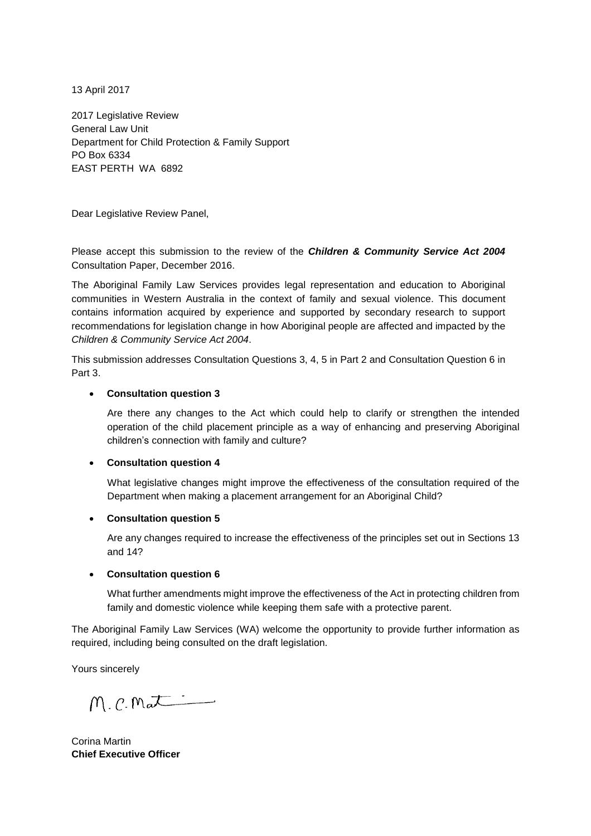13 April 2017

2017 Legislative Review General Law Unit Department for Child Protection & Family Support PO Box 6334 EAST PERTH WA 6892

Dear Legislative Review Panel,

Please accept this submission to the review of the *Children & Community Service Act 2004* Consultation Paper, December 2016.

The Aboriginal Family Law Services provides legal representation and education to Aboriginal communities in Western Australia in the context of family and sexual violence. This document contains information acquired by experience and supported by secondary research to support recommendations for legislation change in how Aboriginal people are affected and impacted by the *Children & Community Service Act 2004*.

This submission addresses Consultation Questions 3, 4, 5 in Part 2 and Consultation Question 6 in Part 3.

#### **Consultation question 3**

Are there any changes to the Act which could help to clarify or strengthen the intended operation of the child placement principle as a way of enhancing and preserving Aboriginal children's connection with family and culture?

#### **Consultation question 4**

What legislative changes might improve the effectiveness of the consultation required of the Department when making a placement arrangement for an Aboriginal Child?

#### **Consultation question 5**

Are any changes required to increase the effectiveness of the principles set out in Sections 13 and 14?

#### **Consultation question 6**

What further amendments might improve the effectiveness of the Act in protecting children from family and domestic violence while keeping them safe with a protective parent.

The Aboriginal Family Law Services (WA) welcome the opportunity to provide further information as required, including being consulted on the draft legislation.

Yours sincerely

M. C. Mat

Corina Martin **Chief Executive Officer**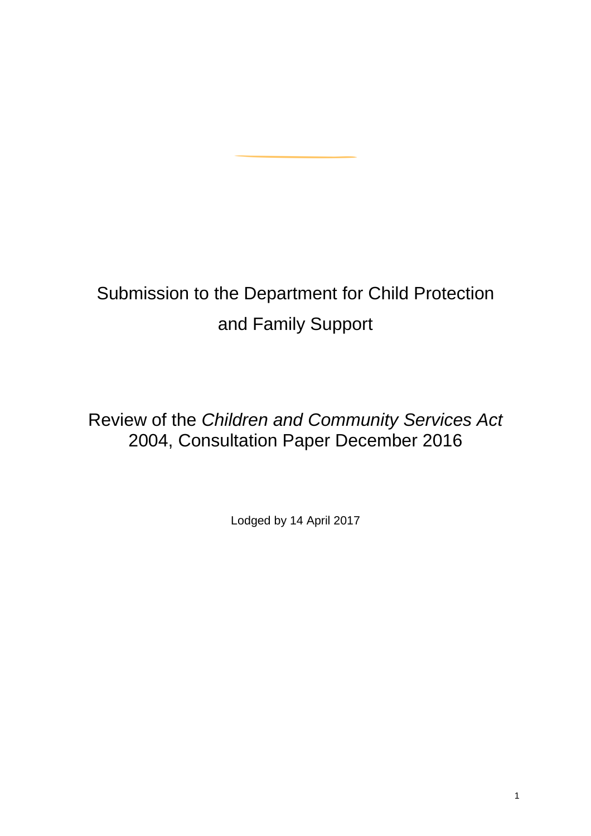# Submission to the Department for Child Protection and Family Support

Review of the *Children and Community Services Act* 2004, Consultation Paper December 2016

Lodged by 14 April 2017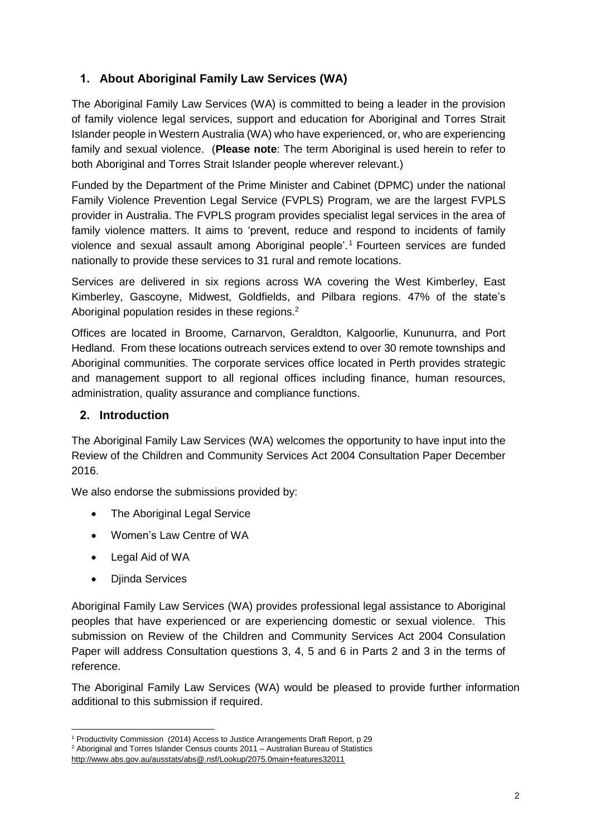# **1. About Aboriginal Family Law Services (WA)**

The Aboriginal Family Law Services (WA) is committed to being a leader in the provision of family violence legal services, support and education for Aboriginal and Torres Strait Islander people in Western Australia (WA) who have experienced, or, who are experiencing family and sexual violence. (**Please note**: The term Aboriginal is used herein to refer to both Aboriginal and Torres Strait Islander people wherever relevant.)

Funded by the Department of the Prime Minister and Cabinet (DPMC) under the national Family Violence Prevention Legal Service (FVPLS) Program, we are the largest FVPLS provider in Australia. The FVPLS program provides specialist legal services in the area of family violence matters. It aims to 'prevent, reduce and respond to incidents of family violence and sexual assault among Aboriginal people'.<sup>1</sup> Fourteen services are funded nationally to provide these services to 31 rural and remote locations.

Services are delivered in six regions across WA covering the West Kimberley, East Kimberley, Gascoyne, Midwest, Goldfields, and Pilbara regions. 47% of the state's Aboriginal population resides in these regions.<sup>2</sup>

Offices are located in Broome, Carnarvon, Geraldton, Kalgoorlie, Kununurra, and Port Hedland. From these locations outreach services extend to over 30 remote townships and Aboriginal communities. The corporate services office located in Perth provides strategic and management support to all regional offices including finance, human resources, administration, quality assurance and compliance functions.

# **2. Introduction**

The Aboriginal Family Law Services (WA) welcomes the opportunity to have input into the Review of the Children and Community Services Act 2004 Consultation Paper December 2016.

We also endorse the submissions provided by:

- The Aboriginal Legal Service
- Women's Law Centre of WA
- Legal Aid of WA
- Djinda Services

Aboriginal Family Law Services (WA) provides professional legal assistance to Aboriginal peoples that have experienced or are experiencing domestic or sexual violence. This submission on Review of the Children and Community Services Act 2004 Consulation Paper will address Consultation questions 3, 4, 5 and 6 in Parts 2 and 3 in the terms of reference.

The Aboriginal Family Law Services (WA) would be pleased to provide further information additional to this submission if required.

 $\overline{a}$ <sup>1</sup> Productivity Commission (2014) Access to Justice Arrangements Draft Report, p 29

<sup>&</sup>lt;sup>2</sup> Aboriginal and Torres Islander Census counts 2011 – Australian Bureau of Statistics

<http://www.abs.gov.au/ausstats/abs@.nsf/Lookup/2075.0main+features32011>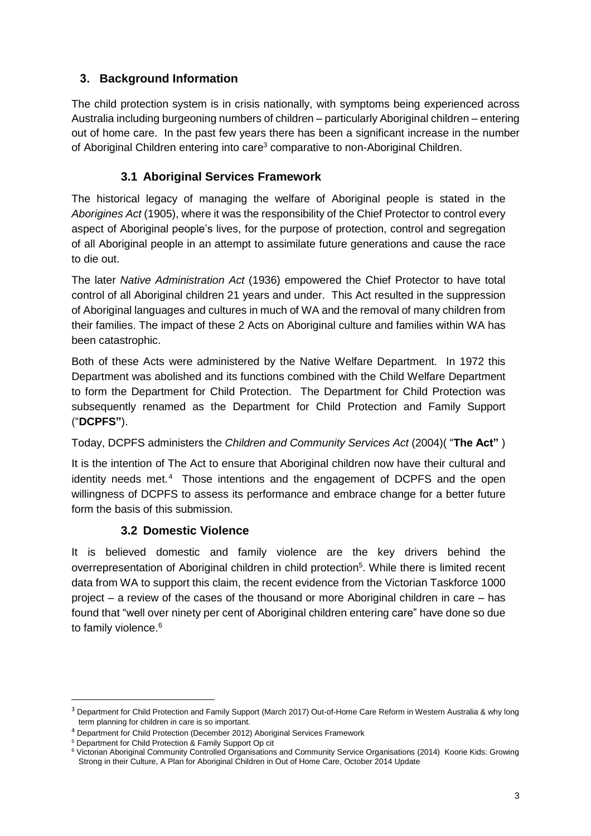# **3. Background Information**

The child protection system is in crisis nationally, with symptoms being experienced across Australia including burgeoning numbers of children – particularly Aboriginal children – entering out of home care. In the past few years there has been a significant increase in the number of Aboriginal Children entering into care<sup>3</sup> comparative to non-Aboriginal Children.

# **3.1 Aboriginal Services Framework**

The historical legacy of managing the welfare of Aboriginal people is stated in the *Aborigines Act* (1905), where it was the responsibility of the Chief Protector to control every aspect of Aboriginal people's lives, for the purpose of protection, control and segregation of all Aboriginal people in an attempt to assimilate future generations and cause the race to die out.

The later *Native Administration Act* (1936) empowered the Chief Protector to have total control of all Aboriginal children 21 years and under. This Act resulted in the suppression of Aboriginal languages and cultures in much of WA and the removal of many children from their families. The impact of these 2 Acts on Aboriginal culture and families within WA has been catastrophic.

Both of these Acts were administered by the Native Welfare Department. In 1972 this Department was abolished and its functions combined with the Child Welfare Department to form the Department for Child Protection. The Department for Child Protection was subsequently renamed as the Department for Child Protection and Family Support ("**DCPFS"**).

Today, DCPFS administers the *Children and Community Services Act* (2004)( "**The Act"** )

It is the intention of The Act to ensure that Aboriginal children now have their cultural and identity needs met.<sup>4</sup> Those intentions and the engagement of DCPFS and the open willingness of DCPFS to assess its performance and embrace change for a better future form the basis of this submission.

# **3.2 Domestic Violence**

It is believed domestic and family violence are the key drivers behind the overrepresentation of Aboriginal children in child protection<sup>5</sup>. While there is limited recent data from WA to support this claim, the recent evidence from the Victorian Taskforce 1000 project – a review of the cases of the thousand or more Aboriginal children in care – has found that "well over ninety per cent of Aboriginal children entering care" have done so due to family violence.<sup>6</sup>

<sup>&</sup>lt;sup>3</sup> Department for Child Protection and Family Support (March 2017) Out-of-Home Care Reform in Western Australia & why long term planning for children in care is so important.

<sup>4</sup> Department for Child Protection (December 2012) Aboriginal Services Framework

<sup>5</sup> Department for Child Protection & Family Support Op cit

<sup>6</sup> Victorian Aboriginal Community Controlled Organisations and Community Service Organisations (2014) Koorie Kids: Growing Strong in their Culture, A Plan for Aboriginal Children in Out of Home Care, October 2014 Update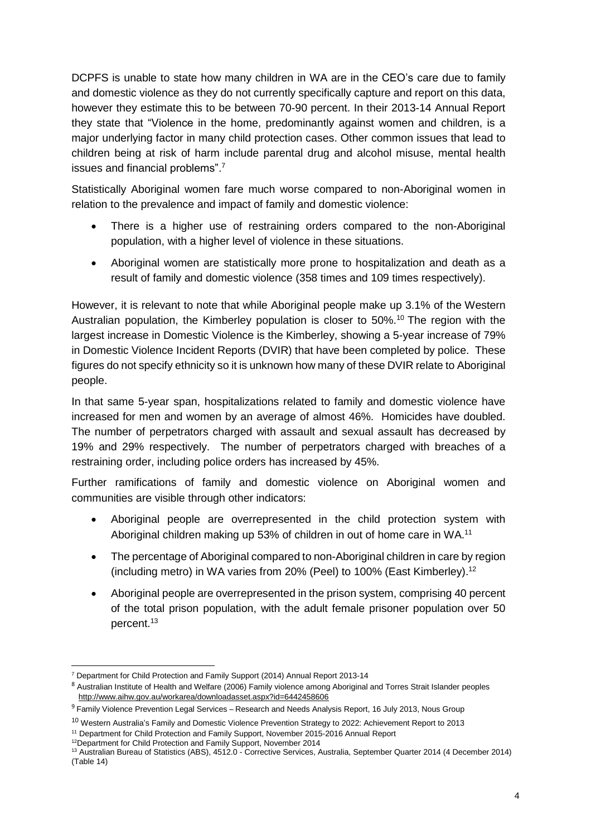DCPFS is unable to state how many children in WA are in the CEO's care due to family and domestic violence as they do not currently specifically capture and report on this data, however they estimate this to be between 70-90 percent. In their 2013-14 Annual Report they state that "Violence in the home, predominantly against women and children, is a major underlying factor in many child protection cases. Other common issues that lead to children being at risk of harm include parental drug and alcohol misuse, mental health issues and financial problems".<sup>7</sup>

Statistically Aboriginal women fare much worse compared to non-Aboriginal women in relation to the prevalence and impact of family and domestic violence:

- There is a higher use of restraining orders compared to the non-Aboriginal population, with a higher level of violence in these situations.
- Aboriginal women are statistically more prone to hospitalization and death as a result of family and domestic violence (358 times and 109 times respectively).

However, it is relevant to note that while Aboriginal people make up 3.1% of the Western Australian population, the Kimberley population is closer to 50%.<sup>10</sup> The region with the largest increase in Domestic Violence is the Kimberley, showing a 5-year increase of 79% in Domestic Violence Incident Reports (DVIR) that have been completed by police. These figures do not specify ethnicity so it is unknown how many of these DVIR relate to Aboriginal people.

In that same 5-year span, hospitalizations related to family and domestic violence have increased for men and women by an average of almost 46%. Homicides have doubled. The number of perpetrators charged with assault and sexual assault has decreased by 19% and 29% respectively. The number of perpetrators charged with breaches of a restraining order, including police orders has increased by 45%.

Further ramifications of family and domestic violence on Aboriginal women and communities are visible through other indicators:

- Aboriginal people are overrepresented in the child protection system with Aboriginal children making up 53% of children in out of home care in WA.<sup>11</sup>
- The percentage of Aboriginal compared to non-Aboriginal children in care by region (including metro) in WA varies from 20% (Peel) to 100% (East Kimberley).<sup>12</sup>
- Aboriginal people are overrepresented in the prison system, comprising 40 percent of the total prison population, with the adult female prisoner population over 50 percent.<sup>13</sup>

 $\overline{a}$ <sup>7</sup> Department for Child Protection and Family Support (2014) Annual Report 2013-14

<sup>8</sup> Australian Institute of Health and Welfare (2006) Family violence among Aboriginal and Torres Strait Islander peoples <http://www.aihw.gov.au/workarea/downloadasset.aspx?id=6442458606>

<sup>9</sup> Family Violence Prevention Legal Services – Research and Needs Analysis Report, 16 July 2013, Nous Group

<sup>10</sup> Western Australia's Family and Domestic Violence Prevention Strategy to 2022: Achievement Report to 2013

<sup>&</sup>lt;sup>11</sup> Department for Child Protection and Family Support, November 2015-2016 Annual Report

<sup>&</sup>lt;sup>12</sup>Department for Child Protection and Family Support, November 2014

<sup>13</sup> Australian Bureau of Statistics (ABS), 4512.0 - Corrective Services, Australia, September Quarter 2014 (4 December 2014) (Table 14)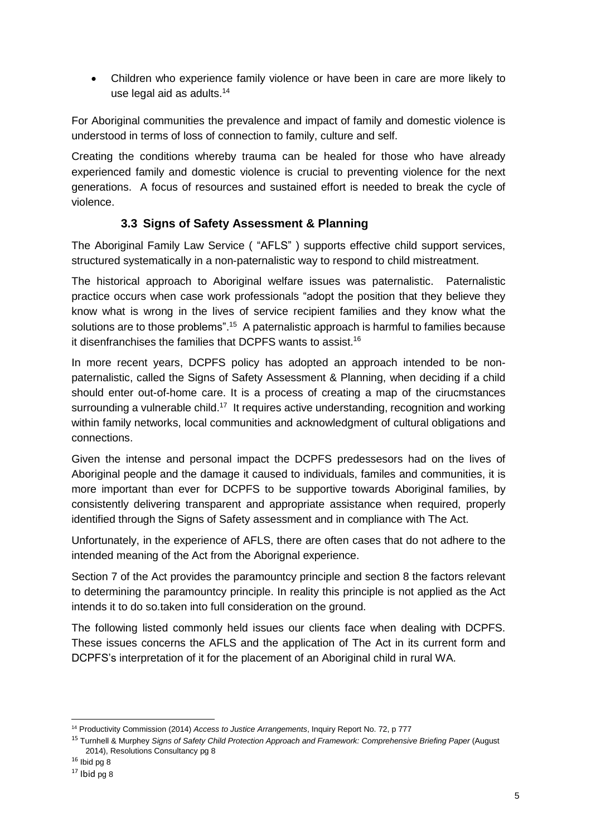Children who experience family violence or have been in care are more likely to use legal aid as adults.<sup>14</sup>

For Aboriginal communities the prevalence and impact of family and domestic violence is understood in terms of loss of connection to family, culture and self.

Creating the conditions whereby trauma can be healed for those who have already experienced family and domestic violence is crucial to preventing violence for the next generations. A focus of resources and sustained effort is needed to break the cycle of violence.

# **3.3 Signs of Safety Assessment & Planning**

The Aboriginal Family Law Service ( "AFLS" ) supports effective child support services, structured systematically in a non-paternalistic way to respond to child mistreatment.

The historical approach to Aboriginal welfare issues was paternalistic. Paternalistic practice occurs when case work professionals "adopt the position that they believe they know what is wrong in the lives of service recipient families and they know what the solutions are to those problems".<sup>15</sup> A paternalistic approach is harmful to families because it disenfranchises the families that DCPFS wants to assist.<sup>16</sup>

In more recent years, DCPFS policy has adopted an approach intended to be nonpaternalistic, called the Signs of Safety Assessment & Planning, when deciding if a child should enter out-of-home care. It is a process of creating a map of the cirucmstances surrounding a vulnerable child.<sup>17</sup> It requires active understanding, recognition and working within family networks, local communities and acknowledgment of cultural obligations and connections.

Given the intense and personal impact the DCPFS predessesors had on the lives of Aboriginal people and the damage it caused to individuals, familes and communities, it is more important than ever for DCPFS to be supportive towards Aboriginal families, by consistently delivering transparent and appropriate assistance when required, properly identified through the Signs of Safety assessment and in compliance with The Act.

Unfortunately, in the experience of AFLS, there are often cases that do not adhere to the intended meaning of the Act from the Aborignal experience.

Section 7 of the Act provides the paramountcy principle and section 8 the factors relevant to determining the paramountcy principle. In reality this principle is not applied as the Act intends it to do so.taken into full consideration on the ground.

The following listed commonly held issues our clients face when dealing with DCPFS. These issues concerns the AFLS and the application of The Act in its current form and DCPFS's interpretation of it for the placement of an Aboriginal child in rural WA.

 $\overline{a}$ <sup>14</sup> Productivity Commission (2014) *Access to Justice Arrangements*, Inquiry Report No. 72, p 777

<sup>15</sup> Turnhell & Murphey *Signs of Safety Child Protection Approach and Framework: Comprehensive Briefing Paper* (August 2014), Resolutions Consultancy pg 8

 $16$  Ibid pg 8

 $17$  Ibid pg 8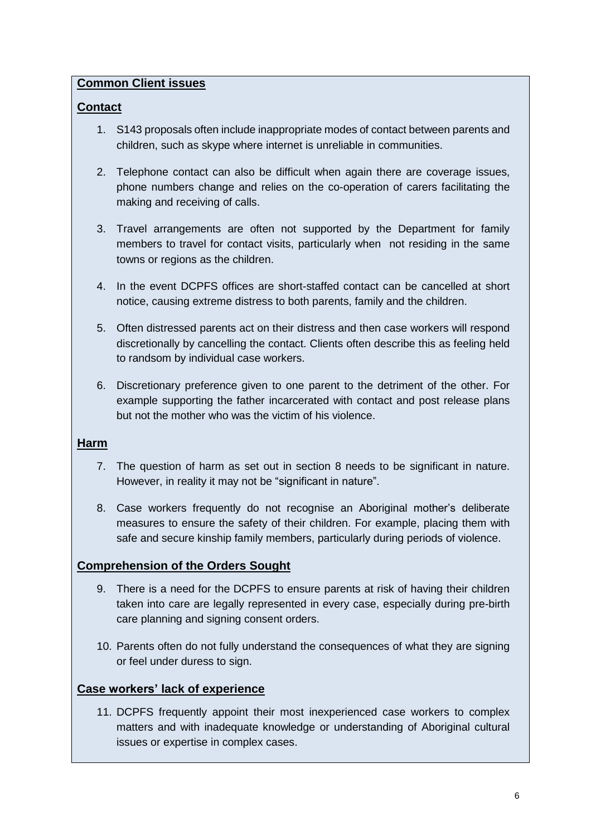# **Common Client issues**

# **Contact**

- 1. S143 proposals often include inappropriate modes of contact between parents and children, such as skype where internet is unreliable in communities.
- 2. Telephone contact can also be difficult when again there are coverage issues, phone numbers change and relies on the co-operation of carers facilitating the making and receiving of calls.
- 3. Travel arrangements are often not supported by the Department for family members to travel for contact visits, particularly when not residing in the same towns or regions as the children.
- 4. In the event DCPFS offices are short-staffed contact can be cancelled at short notice, causing extreme distress to both parents, family and the children.
- 5. Often distressed parents act on their distress and then case workers will respond discretionally by cancelling the contact. Clients often describe this as feeling held to randsom by individual case workers.
- 6. Discretionary preference given to one parent to the detriment of the other. For example supporting the father incarcerated with contact and post release plans but not the mother who was the victim of his violence.

### **Harm**

- 7. The question of harm as set out in section 8 needs to be significant in nature. However, in reality it may not be "significant in nature".
- 8. Case workers frequently do not recognise an Aboriginal mother's deliberate measures to ensure the safety of their children. For example, placing them with safe and secure kinship family members, particularly during periods of violence.

# **Comprehension of the Orders Sought**

- 9. There is a need for the DCPFS to ensure parents at risk of having their children taken into care are legally represented in every case, especially during pre-birth care planning and signing consent orders.
- 10. Parents often do not fully understand the consequences of what they are signing or feel under duress to sign.

# **Case workers' lack of experience**

11. DCPFS frequently appoint their most inexperienced case workers to complex matters and with inadequate knowledge or understanding of Aboriginal cultural issues or expertise in complex cases.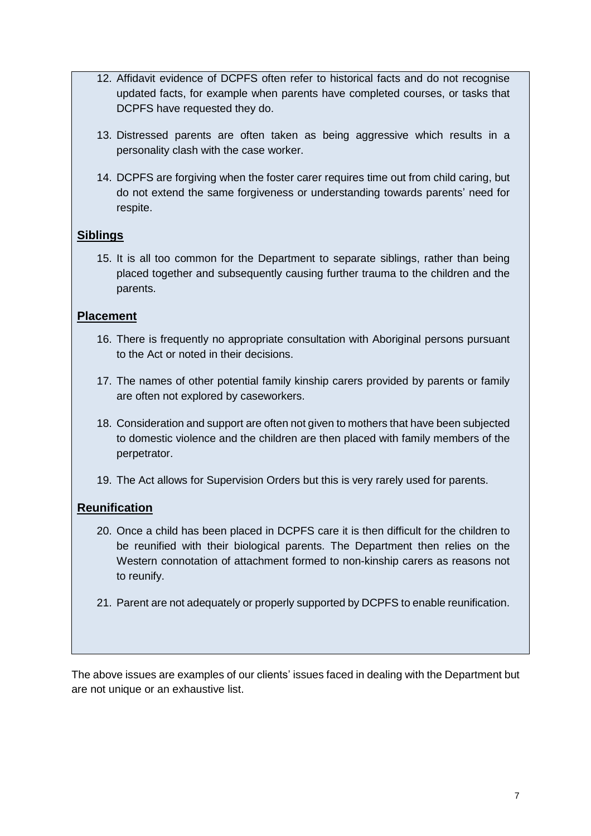- 12. Affidavit evidence of DCPFS often refer to historical facts and do not recognise updated facts, for example when parents have completed courses, or tasks that DCPFS have requested they do.
- 13. Distressed parents are often taken as being aggressive which results in a personality clash with the case worker.
- 14. DCPFS are forgiving when the foster carer requires time out from child caring, but do not extend the same forgiveness or understanding towards parents' need for respite.

# **Siblings**

15. It is all too common for the Department to separate siblings, rather than being placed together and subsequently causing further trauma to the children and the parents.

# **Placement**

- 16. There is frequently no appropriate consultation with Aboriginal persons pursuant to the Act or noted in their decisions.
- 17. The names of other potential family kinship carers provided by parents or family are often not explored by caseworkers.
- 18. Consideration and support are often not given to mothers that have been subjected to domestic violence and the children are then placed with family members of the perpetrator.
- 19. The Act allows for Supervision Orders but this is very rarely used for parents.

# **Reunification**

- 20. Once a child has been placed in DCPFS care it is then difficult for the children to be reunified with their biological parents. The Department then relies on the Western connotation of attachment formed to non-kinship carers as reasons not to reunify.
- 21. Parent are not adequately or properly supported by DCPFS to enable reunification.

The above issues are examples of our clients' issues faced in dealing with the Department but are not unique or an exhaustive list.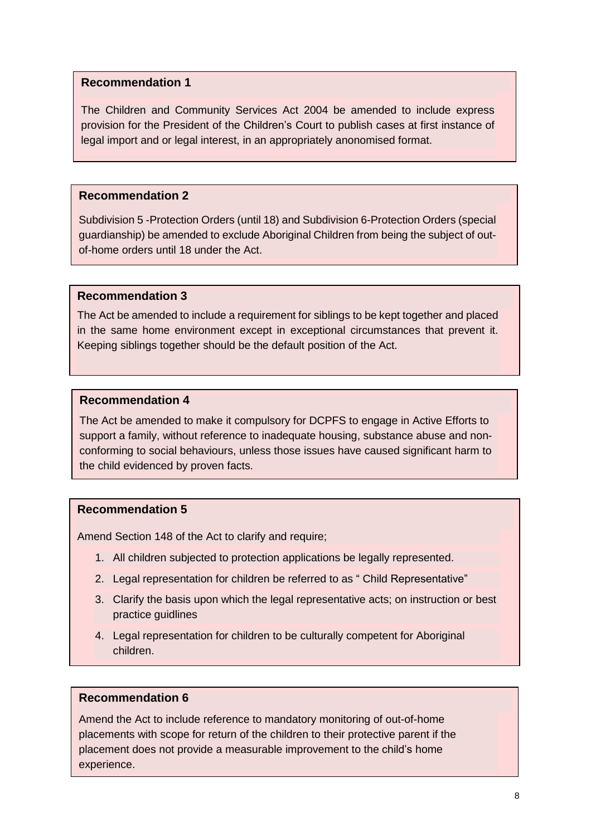The Children and Community Services Act 2004 be amended to include express provision for the President of the Children's Court to publish cases at first instance of legal import and or legal interest, in an appropriately anonomised format.

### **Recommendation 2**

Subdivision 5 -Protection Orders (until 18) and Subdivision 6-Protection Orders (special guardianship) be amended to exclude Aboriginal Children from being the subject of outof-home orders until 18 under the Act.

#### **Recommendation 3**

The Act be amended to include a requirement for siblings to be kept together and placed in the same home environment except in exceptional circumstances that prevent it. Keeping siblings together should be the default position of the Act.

#### **Recommendation 4**

The Act be amended to make it compulsory for DCPFS to engage in Active Efforts to support a family, without reference to inadequate housing, substance abuse and nonconforming to social behaviours, unless those issues have caused significant harm to the child evidenced by proven facts.

### **Recommendation 5**

Amend Section 148 of the Act to clarify and require;

- 1. All children subjected to protection applications be legally represented.
- 2. Legal representation for children be referred to as " Child Representative"
- 3. Clarify the basis upon which the legal representative acts; on instruction or best practice guidlines
- 4. Legal representation for children to be culturally competent for Aboriginal children.

### **Recommendation 6**

Amend the Act to include reference to mandatory monitoring of out-of-home placements with scope for return of the children to their protective parent if the placement does not provide a measurable improvement to the child's home experience.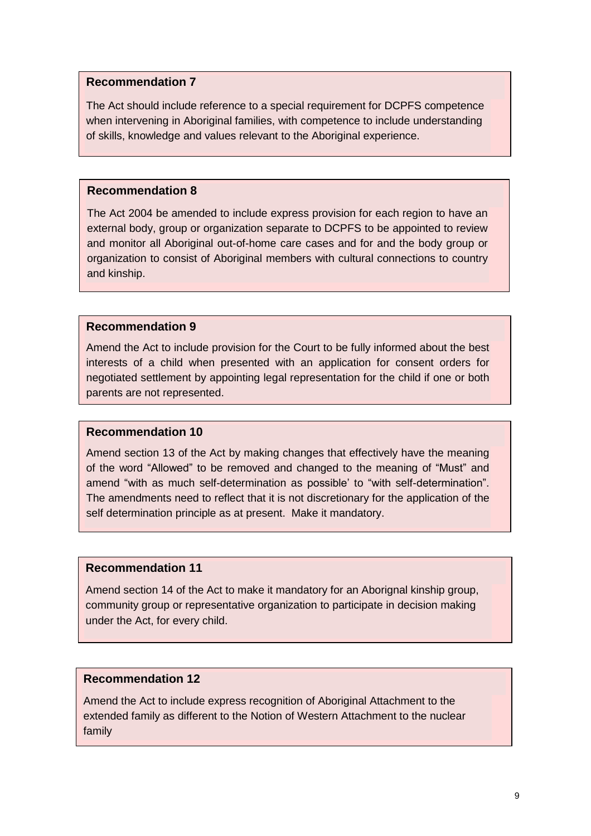The Act should include reference to a special requirement for DCPFS competence when intervening in Aboriginal families, with competence to include understanding of skills, knowledge and values relevant to the Aboriginal experience.

### **Recommendation 8**

The Act 2004 be amended to include express provision for each region to have an external body, group or organization separate to DCPFS to be appointed to review and monitor all Aboriginal out-of-home care cases and for and the body group or organization to consist of Aboriginal members with cultural connections to country and kinship.

### **Recommendation 9**

Amend the Act to include provision for the Court to be fully informed about the best interests of a child when presented with an application for consent orders for negotiated settlement by appointing legal representation for the child if one or both parents are not represented.

#### **Recommendation 10**

Amend section 13 of the Act by making changes that effectively have the meaning of the word "Allowed" to be removed and changed to the meaning of "Must" and amend "with as much self-determination as possible' to "with self-determination". The amendments need to reflect that it is not discretionary for the application of the self determination principle as at present. Make it mandatory.

#### **Recommendation 11**

Amend section 14 of the Act to make it mandatory for an Aborignal kinship group, community group or representative organization to participate in decision making under the Act, for every child.

### **Recommendation 12**

Amend the Act to include express recognition of Aboriginal Attachment to the extended family as different to the Notion of Western Attachment to the nuclear family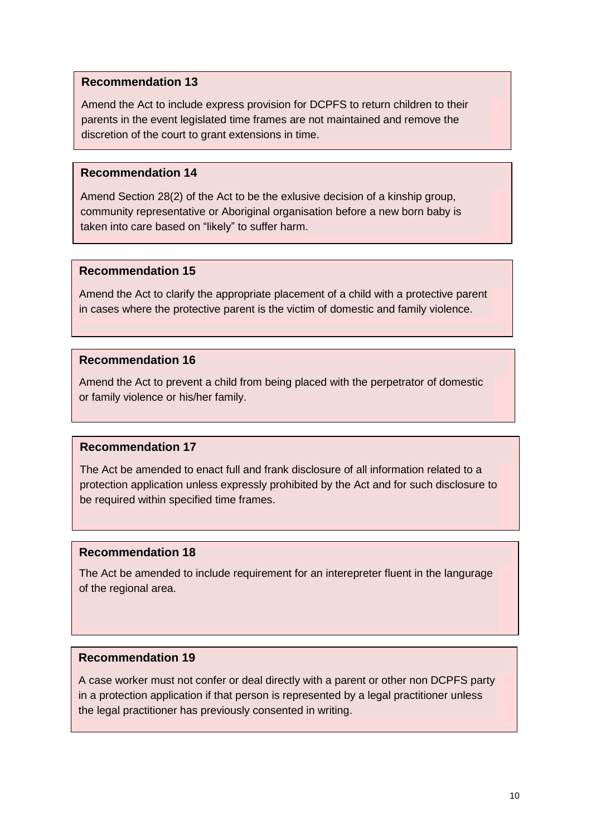Amend the Act to include express provision for DCPFS to return children to their parents in the event legislated time frames are not maintained and remove the discretion of the court to grant extensions in time.

### **Recommendation 14**

Amend Section 28(2) of the Act to be the exlusive decision of a kinship group, community representative or Aboriginal organisation before a new born baby is taken into care based on "likely" to suffer harm.

### **Recommendation 15**

Amend the Act to clarify the appropriate placement of a child with a protective parent in cases where the protective parent is the victim of domestic and family violence.

### **Recommendation 16**

Amend the Act to prevent a child from being placed with the perpetrator of domestic or family violence or his/her family.

### **Recommendation 17**

The Act be amended to enact full and frank disclosure of all information related to a protection application unless expressly prohibited by the Act and for such disclosure to be required within specified time frames.

### **Recommendation 18**

The Act be amended to include requirement for an interepreter fluent in the langurage of the regional area.

### **Recommendation 19**

A case worker must not confer or deal directly with a parent or other non DCPFS party in a protection application if that person is represented by a legal practitioner unless the legal practitioner has previously consented in writing.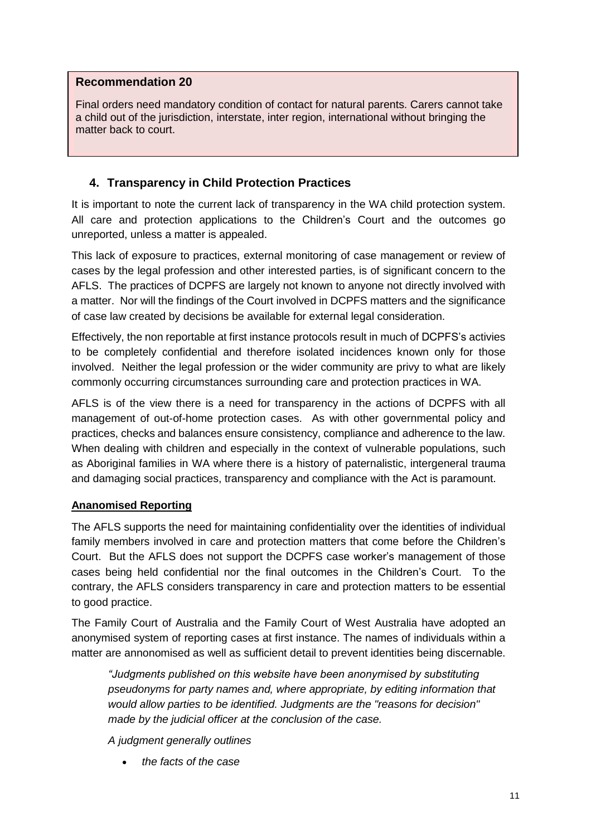Final orders need mandatory condition of contact for natural parents. Carers cannot take a child out of the jurisdiction, interstate, inter region, international without bringing the matter back to court.

# **4. Transparency in Child Protection Practices**

It is important to note the current lack of transparency in the WA child protection system. All care and protection applications to the Children's Court and the outcomes go unreported, unless a matter is appealed.

This lack of exposure to practices, external monitoring of case management or review of cases by the legal profession and other interested parties, is of significant concern to the AFLS. The practices of DCPFS are largely not known to anyone not directly involved with a matter. Nor will the findings of the Court involved in DCPFS matters and the significance of case law created by decisions be available for external legal consideration.

Effectively, the non reportable at first instance protocols result in much of DCPFS's activies to be completely confidential and therefore isolated incidences known only for those involved. Neither the legal profession or the wider community are privy to what are likely commonly occurring circumstances surrounding care and protection practices in WA.

AFLS is of the view there is a need for transparency in the actions of DCPFS with all management of out-of-home protection cases. As with other governmental policy and practices, checks and balances ensure consistency, compliance and adherence to the law. When dealing with children and especially in the context of vulnerable populations, such as Aboriginal families in WA where there is a history of paternalistic, intergeneral trauma and damaging social practices, transparency and compliance with the Act is paramount.

### **Ananomised Reporting**

The AFLS supports the need for maintaining confidentiality over the identities of individual family members involved in care and protection matters that come before the Children's Court. But the AFLS does not support the DCPFS case worker's management of those cases being held confidential nor the final outcomes in the Children's Court. To the contrary, the AFLS considers transparency in care and protection matters to be essential to good practice.

The Family Court of Australia and the Family Court of West Australia have adopted an anonymised system of reporting cases at first instance. The names of individuals within a matter are annonomised as well as sufficient detail to prevent identities being discernable.

*"Judgments published on this website have been anonymised by substituting pseudonyms for party names and, where appropriate, by editing information that would allow parties to be identified. Judgments are the "reasons for decision" made by the judicial officer at the conclusion of the case.*

*A judgment generally outlines*

*the facts of the case*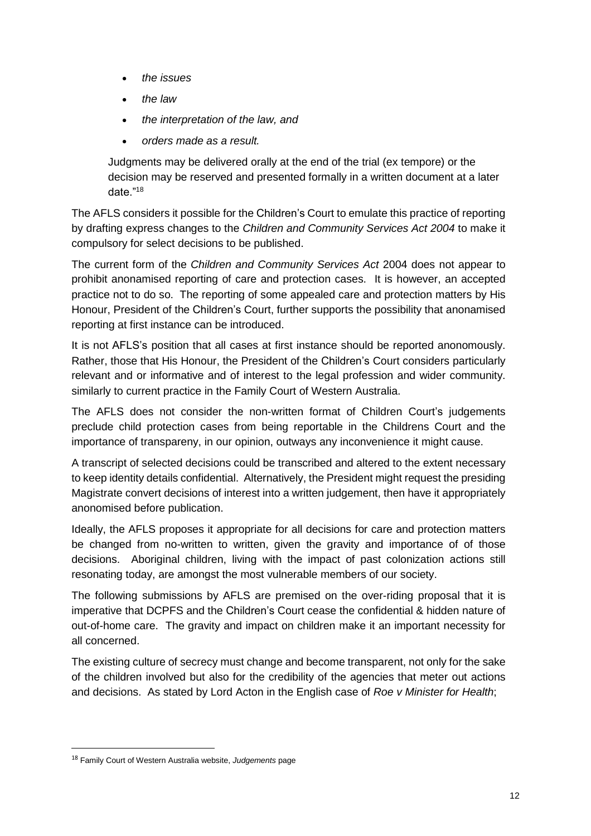- *the issues*
- *the law*
- *the interpretation of the law, and*
- *orders made as a result.*

Judgments may be delivered orally at the end of the trial (ex tempore) or the decision may be reserved and presented formally in a written document at a later date."<sup>18</sup>

The AFLS considers it possible for the Children's Court to emulate this practice of reporting by drafting express changes to the *Children and Community Services Act 2004* to make it compulsory for select decisions to be published.

The current form of the *Children and Community Services Act* 2004 does not appear to prohibit anonamised reporting of care and protection cases. It is however, an accepted practice not to do so. The reporting of some appealed care and protection matters by His Honour, President of the Children's Court, further supports the possibility that anonamised reporting at first instance can be introduced.

It is not AFLS's position that all cases at first instance should be reported anonomously. Rather, those that His Honour, the President of the Children's Court considers particularly relevant and or informative and of interest to the legal profession and wider community. similarly to current practice in the Family Court of Western Australia.

The AFLS does not consider the non-written format of Children Court's judgements preclude child protection cases from being reportable in the Childrens Court and the importance of transpareny, in our opinion, outways any inconvenience it might cause.

A transcript of selected decisions could be transcribed and altered to the extent necessary to keep identity details confidential. Alternatively, the President might request the presiding Magistrate convert decisions of interest into a written judgement, then have it appropriately anonomised before publication.

Ideally, the AFLS proposes it appropriate for all decisions for care and protection matters be changed from no-written to written, given the gravity and importance of of those decisions. Aboriginal children, living with the impact of past colonization actions still resonating today, are amongst the most vulnerable members of our society.

The following submissions by AFLS are premised on the over-riding proposal that it is imperative that DCPFS and the Children's Court cease the confidential & hidden nature of out-of-home care. The gravity and impact on children make it an important necessity for all concerned.

The existing culture of secrecy must change and become transparent, not only for the sake of the children involved but also for the credibility of the agencies that meter out actions and decisions. As stated by Lord Acton in the English case of *Roe v Minister for Health*;

<sup>18</sup> Family Court of Western Australia website, *Judgements* page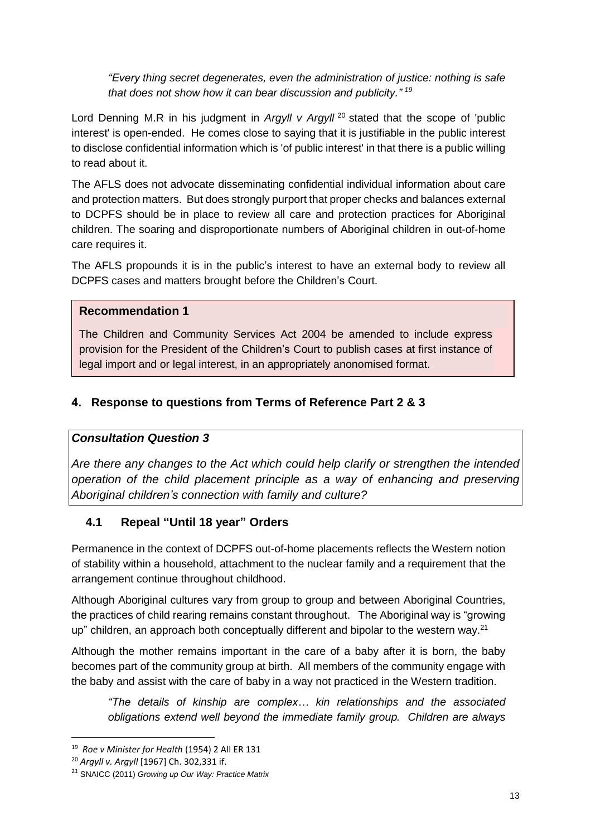*"Every thing secret degenerates, even the administration of justice: nothing is safe that does not show how it can bear discussion and publicity." <sup>19</sup>*

Lord Denning M.R in his judgment in *Argyll v Argyll* <sup>20</sup> stated that the scope of 'public interest' is open-ended. He comes close to saying that it is justifiable in the public interest to disclose confidential information which is 'of public interest' in that there is a public willing to read about it.

The AFLS does not advocate disseminating confidential individual information about care and protection matters. But does strongly purport that proper checks and balances external to DCPFS should be in place to review all care and protection practices for Aboriginal children. The soaring and disproportionate numbers of Aboriginal children in out-of-home care requires it.

The AFLS propounds it is in the public's interest to have an external body to review all DCPFS cases and matters brought before the Children's Court.

# **Recommendation 1**

The Children and Community Services Act 2004 be amended to include express provision for the President of the Children's Court to publish cases at first instance of legal import and or legal interest, in an appropriately anonomised format.

# **4. Response to questions from Terms of Reference Part 2 & 3**

# *Consultation Question 3*

*Are there any changes to the Act which could help clarify or strengthen the intended operation of the child placement principle as a way of enhancing and preserving Aboriginal children's connection with family and culture?*

# **4.1 Repeal "Until 18 year" Orders**

Permanence in the context of DCPFS out-of-home placements reflects the Western notion of stability within a household, attachment to the nuclear family and a requirement that the arrangement continue throughout childhood.

Although Aboriginal cultures vary from group to group and between Aboriginal Countries, the practices of child rearing remains constant throughout. The Aboriginal way is "growing up" children, an approach both conceptually different and bipolar to the western way.<sup>21</sup>

Although the mother remains important in the care of a baby after it is born, the baby becomes part of the community group at birth. All members of the community engage with the baby and assist with the care of baby in a way not practiced in the Western tradition.

*"The details of kinship are complex… kin relationships and the associated obligations extend well beyond the immediate family group. Children are always*

<sup>19</sup> *Roe v Minister for Health* (1954) 2 All ER 131

<sup>20</sup> *Argyll v. Argyll* [1967] Ch. 302,331 if.

<sup>21</sup> SNAICC (2011) *Growing up Our Way: Practice Matrix*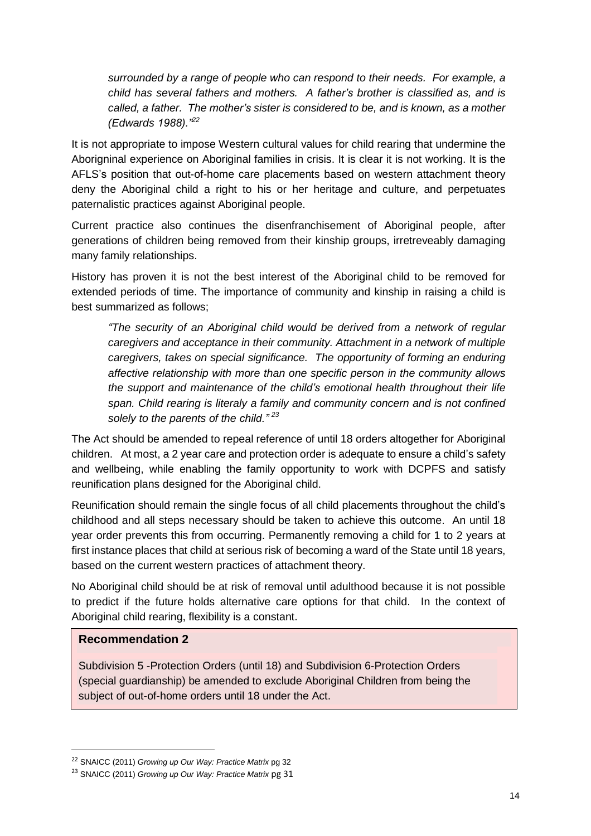*surrounded by a range of people who can respond to their needs. For example, a child has several fathers and mothers. A father's brother is classified as, and is called, a father. The mother's sister is considered to be, and is known, as a mother (Edwards 1988)."<sup>22</sup>*

It is not appropriate to impose Western cultural values for child rearing that undermine the Aborigninal experience on Aboriginal families in crisis. It is clear it is not working. It is the AFLS's position that out-of-home care placements based on western attachment theory deny the Aboriginal child a right to his or her heritage and culture, and perpetuates paternalistic practices against Aboriginal people.

Current practice also continues the disenfranchisement of Aboriginal people, after generations of children being removed from their kinship groups, irretreveably damaging many family relationships.

History has proven it is not the best interest of the Aboriginal child to be removed for extended periods of time. The importance of community and kinship in raising a child is best summarized as follows;

*"The security of an Aboriginal child would be derived from a network of regular caregivers and acceptance in their community. Attachment in a network of multiple caregivers, takes on special significance. The opportunity of forming an enduring affective relationship with more than one specific person in the community allows the support and maintenance of the child's emotional health throughout their life span. Child rearing is literaly a family and community concern and is not confined solely to the parents of the child." <sup>23</sup>*

The Act should be amended to repeal reference of until 18 orders altogether for Aboriginal children. At most, a 2 year care and protection order is adequate to ensure a child's safety and wellbeing, while enabling the family opportunity to work with DCPFS and satisfy reunification plans designed for the Aboriginal child.

Reunification should remain the single focus of all child placements throughout the child's childhood and all steps necessary should be taken to achieve this outcome. An until 18 year order prevents this from occurring. Permanently removing a child for 1 to 2 years at first instance places that child at serious risk of becoming a ward of the State until 18 years, based on the current western practices of attachment theory.

No Aboriginal child should be at risk of removal until adulthood because it is not possible to predict if the future holds alternative care options for that child. In the context of Aboriginal child rearing, flexibility is a constant.

### **Recommendation 2**

 $\overline{a}$ 

Subdivision 5 -Protection Orders (until 18) and Subdivision 6-Protection Orders (special guardianship) be amended to exclude Aboriginal Children from being the subject of out-of-home orders until 18 under the Act.

<sup>22</sup> SNAICC (2011) *Growing up Our Way: Practice Matrix* pg 32

<sup>23</sup> SNAICC (2011) *Growing up Our Way: Practice Matrix* pg 31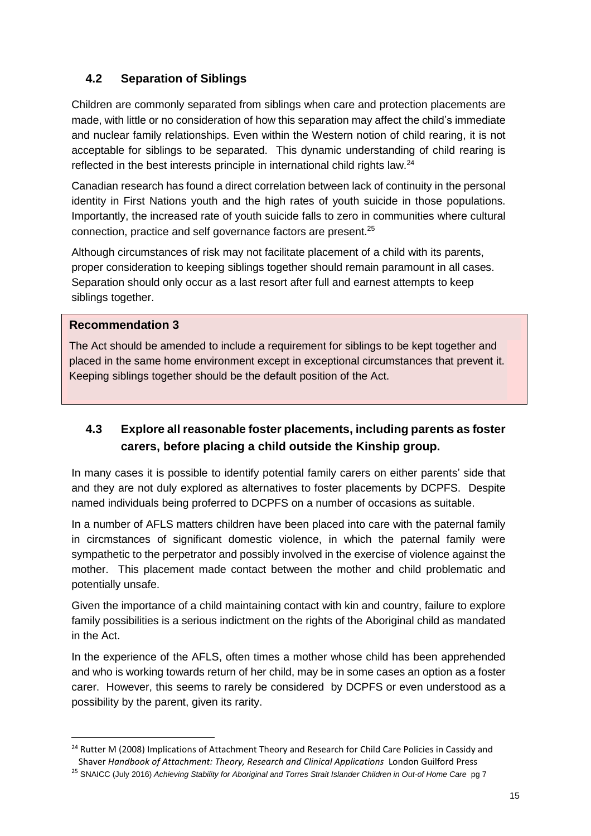# **4.2 Separation of Siblings**

Children are commonly separated from siblings when care and protection placements are made, with little or no consideration of how this separation may affect the child's immediate and nuclear family relationships. Even within the Western notion of child rearing, it is not acceptable for siblings to be separated. This dynamic understanding of child rearing is reflected in the best interests principle in international child rights law. $^{24}$ 

Canadian research has found a direct correlation between lack of continuity in the personal identity in First Nations youth and the high rates of youth suicide in those populations. Importantly, the increased rate of youth suicide falls to zero in communities where cultural connection, practice and self governance factors are present.<sup>25</sup>

Although circumstances of risk may not facilitate placement of a child with its parents, proper consideration to keeping siblings together should remain paramount in all cases. Separation should only occur as a last resort after full and earnest attempts to keep siblings together.

### **Recommendation 3**

 $\overline{a}$ 

The Act should be amended to include a requirement for siblings to be kept together and placed in the same home environment except in exceptional circumstances that prevent it. Keeping siblings together should be the default position of the Act.

# **4.3 Explore all reasonable foster placements, including parents as foster carers, before placing a child outside the Kinship group.**

In many cases it is possible to identify potential family carers on either parents' side that and they are not duly explored as alternatives to foster placements by DCPFS. Despite named individuals being proferred to DCPFS on a number of occasions as suitable.

In a number of AFLS matters children have been placed into care with the paternal family in circmstances of significant domestic violence, in which the paternal family were sympathetic to the perpetrator and possibly involved in the exercise of violence against the mother. This placement made contact between the mother and child problematic and potentially unsafe.

Given the importance of a child maintaining contact with kin and country, failure to explore family possibilities is a serious indictment on the rights of the Aboriginal child as mandated in the Act.

In the experience of the AFLS, often times a mother whose child has been apprehended and who is working towards return of her child, may be in some cases an option as a foster carer. However, this seems to rarely be considered by DCPFS or even understood as a possibility by the parent, given its rarity.

<sup>&</sup>lt;sup>24</sup> Rutter M (2008) Implications of Attachment Theory and Research for Child Care Policies in Cassidy and Shaver *Handbook of Attachment: Theory, Research and Clinical Applications* London Guilford Press

<sup>25</sup> SNAICC (July 2016) *Achieving Stability for Aboriginal and Torres Strait Islander Children in Out-of Home Care* pg 7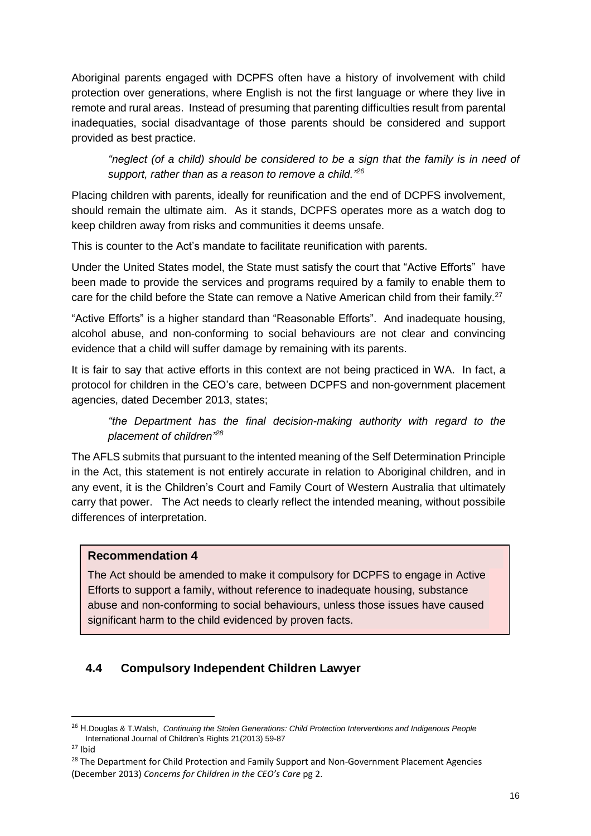Aboriginal parents engaged with DCPFS often have a history of involvement with child protection over generations, where English is not the first language or where they live in remote and rural areas. Instead of presuming that parenting difficulties result from parental inadequaties, social disadvantage of those parents should be considered and support provided as best practice.

*"neglect (of a child) should be considered to be a sign that the family is in need of support, rather than as a reason to remove a child."<sup>26</sup>*

Placing children with parents, ideally for reunification and the end of DCPFS involvement, should remain the ultimate aim. As it stands, DCPFS operates more as a watch dog to keep children away from risks and communities it deems unsafe.

This is counter to the Act's mandate to facilitate reunification with parents.

Under the United States model, the State must satisfy the court that "Active Efforts" have been made to provide the services and programs required by a family to enable them to care for the child before the State can remove a Native American child from their family.<sup>27</sup>

"Active Efforts" is a higher standard than "Reasonable Efforts". And inadequate housing, alcohol abuse, and non-conforming to social behaviours are not clear and convincing evidence that a child will suffer damage by remaining with its parents.

It is fair to say that active efforts in this context are not being practiced in WA. In fact, a protocol for children in the CEO's care, between DCPFS and non-government placement agencies, dated December 2013, states;

*"the Department has the final decision-making authority with regard to the placement of children"<sup>28</sup>*

The AFLS submits that pursuant to the intented meaning of the Self Determination Principle in the Act, this statement is not entirely accurate in relation to Aboriginal children, and in any event, it is the Children's Court and Family Court of Western Australia that ultimately carry that power. The Act needs to clearly reflect the intended meaning, without possibile differences of interpretation.

# **Recommendation 4**

The Act should be amended to make it compulsory for DCPFS to engage in Active Efforts to support a family, without reference to inadequate housing, substance abuse and non-conforming to social behaviours, unless those issues have caused significant harm to the child evidenced by proven facts.

# **4.4 Compulsory Independent Children Lawyer**

<sup>26</sup> H.Douglas & T.Walsh, *Continuing the Stolen Generations: Child Protection Interventions and Indigenous People* International Journal of Children's Rights 21(2013) 59-87

 $27$  Ibid

<sup>&</sup>lt;sup>28</sup> The Department for Child Protection and Family Support and Non-Government Placement Agencies (December 2013) *Concerns for Children in the CEO's Care* pg 2.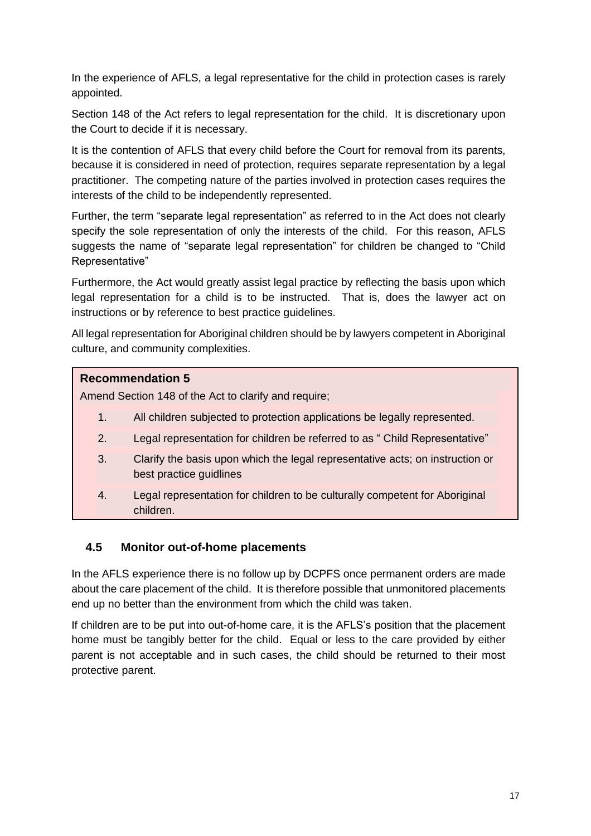In the experience of AFLS, a legal representative for the child in protection cases is rarely appointed.

Section 148 of the Act refers to legal representation for the child. It is discretionary upon the Court to decide if it is necessary.

It is the contention of AFLS that every child before the Court for removal from its parents, because it is considered in need of protection, requires separate representation by a legal practitioner. The competing nature of the parties involved in protection cases requires the interests of the child to be independently represented.

Further, the term "separate legal representation" as referred to in the Act does not clearly specify the sole representation of only the interests of the child. For this reason, AFLS suggests the name of "separate legal representation" for children be changed to "Child Representative"

Furthermore, the Act would greatly assist legal practice by reflecting the basis upon which legal representation for a child is to be instructed. That is, does the lawyer act on instructions or by reference to best practice guidelines.

All legal representation for Aboriginal children should be by lawyers competent in Aboriginal culture, and community complexities.

# **Recommendation 5**

Amend Section 148 of the Act to clarify and require;

- 1. All children subjected to protection applications be legally represented.
- 2. Legal representation for children be referred to as " Child Representative"
- 3. Clarify the basis upon which the legal representative acts; on instruction or best practice guidlines
- 4. Legal representation for children to be culturally competent for Aboriginal children.

# **4.5 Monitor out-of-home placements**

In the AFLS experience there is no follow up by DCPFS once permanent orders are made about the care placement of the child. It is therefore possible that unmonitored placements end up no better than the environment from which the child was taken.

If children are to be put into out-of-home care, it is the AFLS's position that the placement home must be tangibly better for the child. Equal or less to the care provided by either parent is not acceptable and in such cases, the child should be returned to their most protective parent.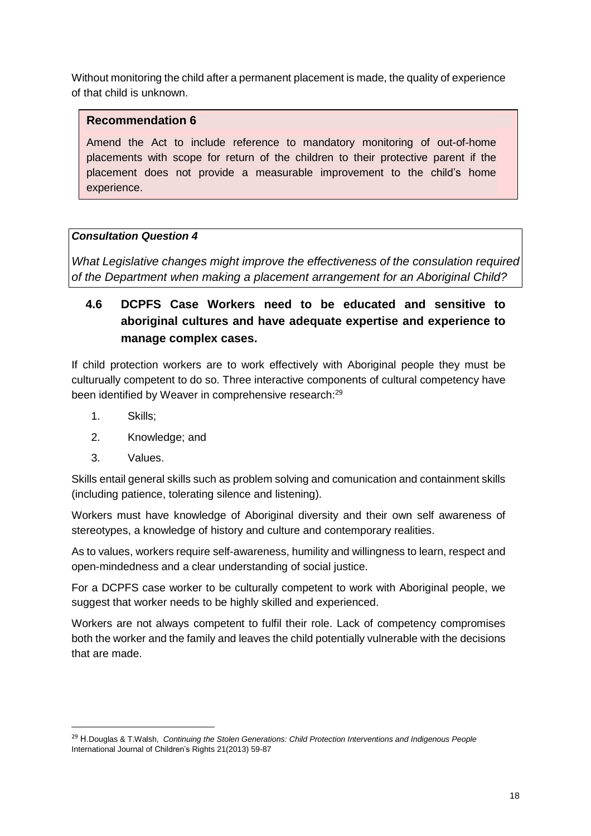Without monitoring the child after a permanent placement is made, the quality of experience of that child is unknown.

### **Recommendation 6**

Amend the Act to include reference to mandatory monitoring of out-of-home placements with scope for return of the children to their protective parent if the placement does not provide a measurable improvement to the child's home experience.

# *Consultation Question 4*

*What Legislative changes might improve the effectiveness of the consulation required of the Department when making a placement arrangement for an Aboriginal Child?*

# **4.6 DCPFS Case Workers need to be educated and sensitive to aboriginal cultures and have adequate expertise and experience to manage complex cases.**

If child protection workers are to work effectively with Aboriginal people they must be culturually competent to do so. Three interactive components of cultural competency have been identified by Weaver in comprehensive research:<sup>29</sup>

- 1. Skills;
- 2. Knowledge; and
- 3. Values.

Skills entail general skills such as problem solving and comunication and containment skills (including patience, tolerating silence and listening).

Workers must have knowledge of Aboriginal diversity and their own self awareness of stereotypes, a knowledge of history and culture and contemporary realities.

As to values, workers require self-awareness, humility and willingness to learn, respect and open-mindedness and a clear understanding of social justice.

For a DCPFS case worker to be culturally competent to work with Aboriginal people, we suggest that worker needs to be highly skilled and experienced.

Workers are not always competent to fulfil their role. Lack of competency compromises both the worker and the family and leaves the child potentially vulnerable with the decisions that are made.

<sup>29</sup> H.Douglas & T.Walsh, *Continuing the Stolen Generations: Child Protection Interventions and Indigenous People* International Journal of Children's Rights 21(2013) 59-87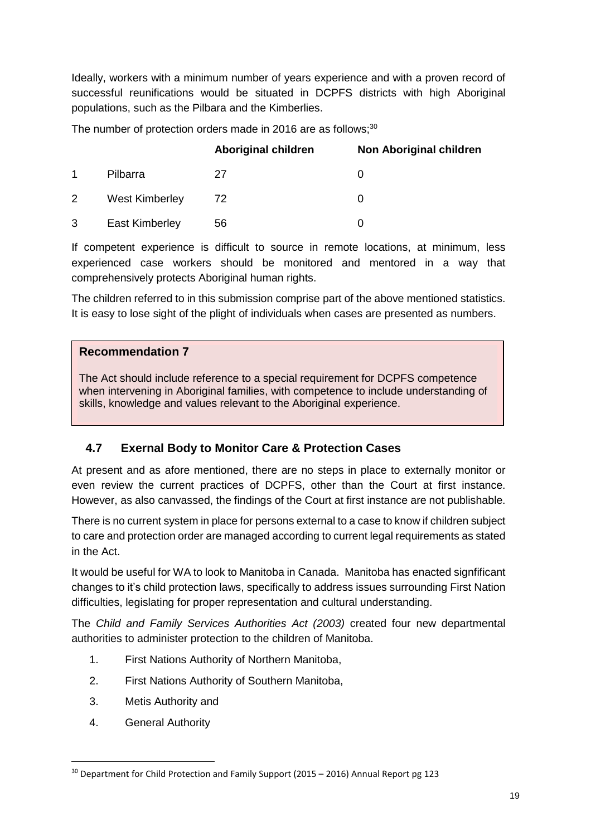Ideally, workers with a minimum number of years experience and with a proven record of successful reunifications would be situated in DCPFS districts with high Aboriginal populations, such as the Pilbara and the Kimberlies.

The number of protection orders made in 2016 are as follows;<sup>30</sup>

|             |                       | <b>Aboriginal children</b> | Non Aboriginal children |
|-------------|-----------------------|----------------------------|-------------------------|
| $\mathbf 1$ | Pilbarra              | 27                         | O                       |
| 2           | <b>West Kimberley</b> | 72                         | O                       |
| 3           | <b>East Kimberley</b> | 56                         |                         |

If competent experience is difficult to source in remote locations, at minimum, less experienced case workers should be monitored and mentored in a way that comprehensively protects Aboriginal human rights.

The children referred to in this submission comprise part of the above mentioned statistics. It is easy to lose sight of the plight of individuals when cases are presented as numbers.

### **Recommendation 7**

The Act should include reference to a special requirement for DCPFS competence when intervening in Aboriginal families, with competence to include understanding of skills, knowledge and values relevant to the Aboriginal experience.

# **4.7 Exernal Body to Monitor Care & Protection Cases**

At present and as afore mentioned, there are no steps in place to externally monitor or even review the current practices of DCPFS, other than the Court at first instance. However, as also canvassed, the findings of the Court at first instance are not publishable.

There is no current system in place for persons external to a case to know if children subject to care and protection order are managed according to current legal requirements as stated in the Act.

It would be useful for WA to look to Manitoba in Canada. Manitoba has enacted signfificant changes to it's child protection laws, specifically to address issues surrounding First Nation difficulties, legislating for proper representation and cultural understanding.

The *Child and Family Services Authorities Act (2003)* created four new departmental authorities to administer protection to the children of Manitoba.

- 1. First Nations Authority of Northern Manitoba,
- 2. First Nations Authority of Southern Manitoba,
- 3. Metis Authority and
- 4. General Authority

<sup>&</sup>lt;sup>30</sup> Department for Child Protection and Family Support (2015 – 2016) Annual Report pg 123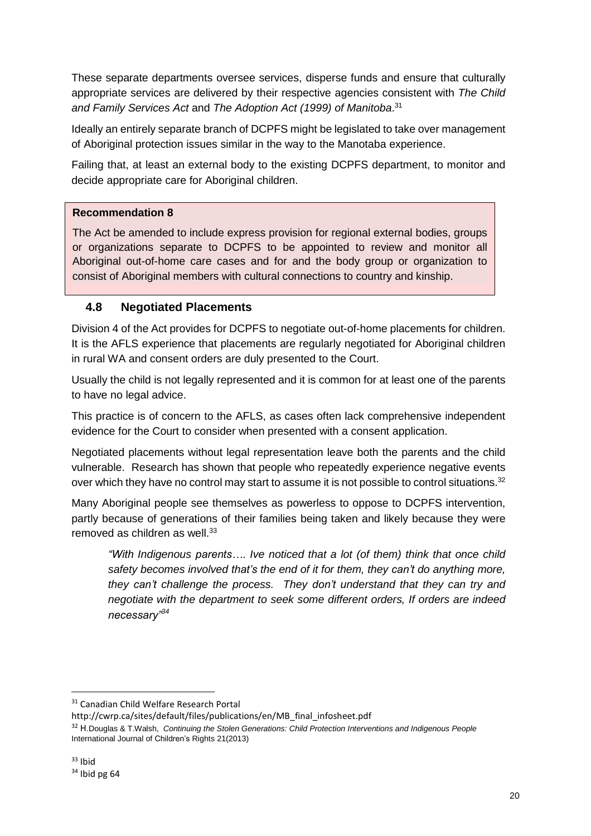These separate departments oversee services, disperse funds and ensure that culturally appropriate services are delivered by their respective agencies consistent with *The Child and Family Services Act* and *The Adoption Act (1999) of Manitoba*. 31

Ideally an entirely separate branch of DCPFS might be legislated to take over management of Aboriginal protection issues similar in the way to the Manotaba experience.

Failing that, at least an external body to the existing DCPFS department, to monitor and decide appropriate care for Aboriginal children.

# **Recommendation 8**

The Act be amended to include express provision for regional external bodies, groups or organizations separate to DCPFS to be appointed to review and monitor all Aboriginal out-of-home care cases and for and the body group or organization to consist of Aboriginal members with cultural connections to country and kinship.

# **4.8 Negotiated Placements**

Division 4 of the Act provides for DCPFS to negotiate out-of-home placements for children. It is the AFLS experience that placements are regularly negotiated for Aboriginal children in rural WA and consent orders are duly presented to the Court.

Usually the child is not legally represented and it is common for at least one of the parents to have no legal advice.

This practice is of concern to the AFLS, as cases often lack comprehensive independent evidence for the Court to consider when presented with a consent application.

Negotiated placements without legal representation leave both the parents and the child vulnerable. Research has shown that people who repeatedly experience negative events over which they have no control may start to assume it is not possible to control situations.<sup>32</sup>

Many Aboriginal people see themselves as powerless to oppose to DCPFS intervention, partly because of generations of their families being taken and likely because they were removed as children as well.<sup>33</sup>

*"With Indigenous parents…. Ive noticed that a lot (of them) think that once child safety becomes involved that's the end of it for them, they can't do anything more, they can't challenge the process. They don't understand that they can try and negotiate with the department to seek some different orders, If orders are indeed necessary"<sup>34</sup>*

<sup>31</sup> Canadian Child Welfare Research Portal

http://cwrp.ca/sites/default/files/publications/en/MB\_final\_infosheet.pdf

<sup>32</sup> H.Douglas & T.Walsh, *Continuing the Stolen Generations: Child Protection Interventions and Indigenous People* International Journal of Children's Rights 21(2013)

 $33$  Ibid

 $34$  Ibid pg 64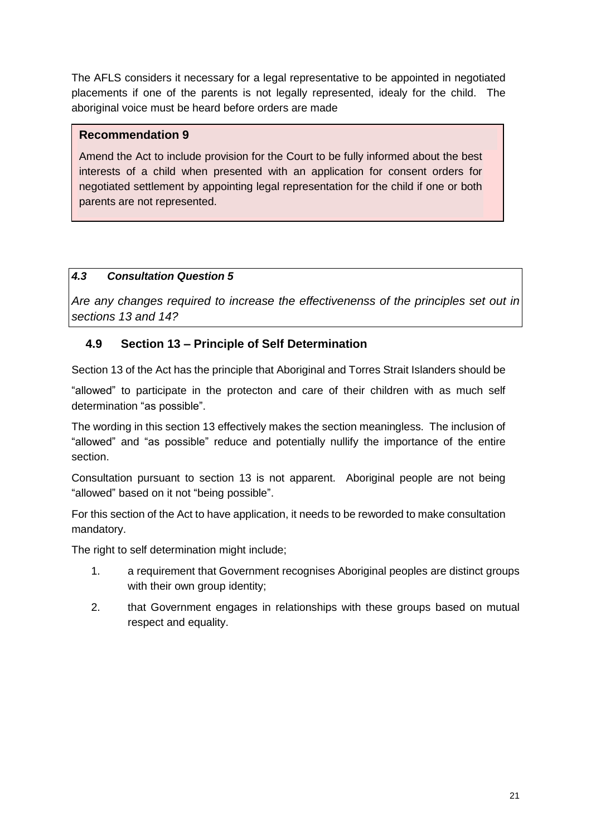The AFLS considers it necessary for a legal representative to be appointed in negotiated placements if one of the parents is not legally represented, idealy for the child. The aboriginal voice must be heard before orders are made

# **Recommendation 9**

Amend the Act to include provision for the Court to be fully informed about the best interests of a child when presented with an application for consent orders for negotiated settlement by appointing legal representation for the child if one or both parents are not represented.

# *4.3 Consultation Question 5*

*Are any changes required to increase the effectivenenss of the principles set out in sections 13 and 14?*

# **4.9 Section 13 – Principle of Self Determination**

Section 13 of the Act has the principle that Aboriginal and Torres Strait Islanders should be

"allowed" to participate in the protecton and care of their children with as much self determination "as possible".

The wording in this section 13 effectively makes the section meaningless. The inclusion of "allowed" and "as possible" reduce and potentially nullify the importance of the entire section.

Consultation pursuant to section 13 is not apparent. Aboriginal people are not being "allowed" based on it not "being possible".

For this section of the Act to have application, it needs to be reworded to make consultation mandatory.

The right to self determination might include;

- 1. a requirement that Government recognises Aboriginal peoples are distinct groups with their own group identity;
- 2. that Government engages in relationships with these groups based on mutual respect and equality.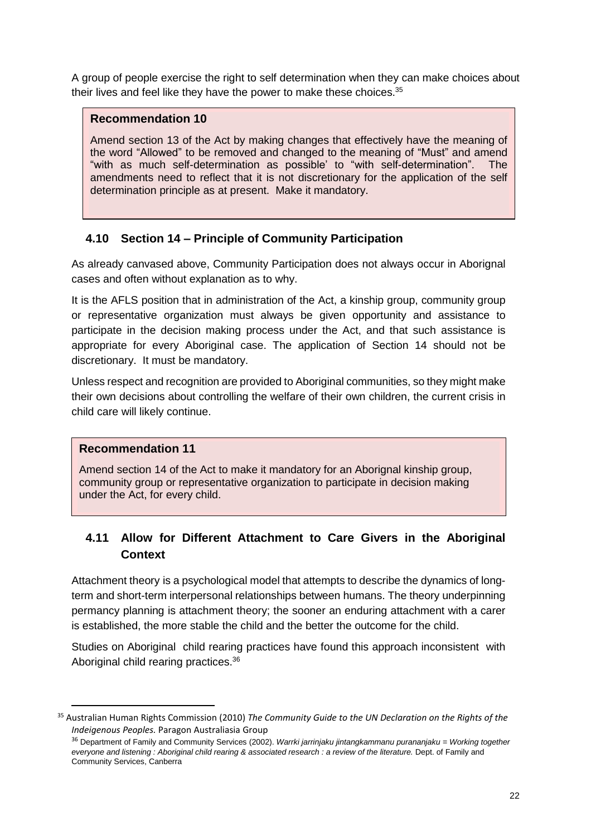A group of people exercise the right to self determination when they can make choices about their lives and feel like they have the power to make these choices.<sup>35</sup>

### **Recommendation 10**

Amend section 13 of the Act by making changes that effectively have the meaning of the word "Allowed" to be removed and changed to the meaning of "Must" and amend "with as much self-determination as possible' to "with self-determination". The amendments need to reflect that it is not discretionary for the application of the self determination principle as at present. Make it mandatory.

# **4.10 Section 14 – Principle of Community Participation**

As already canvased above, Community Participation does not always occur in Aborignal cases and often without explanation as to why.

It is the AFLS position that in administration of the Act, a kinship group, community group or representative organization must always be given opportunity and assistance to participate in the decision making process under the Act, and that such assistance is appropriate for every Aboriginal case. The application of Section 14 should not be discretionary. It must be mandatory.

Unless respect and recognition are provided to Aboriginal communities, so they might make their own decisions about controlling the welfare of their own children, the current crisis in child care will likely continue.

### **Recommendation 11**

 $\overline{a}$ 

Amend section 14 of the Act to make it mandatory for an Aborignal kinship group, community group or representative organization to participate in decision making under the Act, for every child.

# **4.11 Allow for Different Attachment to Care Givers in the Aboriginal Context**

Attachment theory is a psychological model that attempts to describe the dynamics of longterm and short-term interpersonal relationships between humans. The theory underpinning permancy planning is attachment theory; the sooner an enduring attachment with a carer is established, the more stable the child and the better the outcome for the child.

Studies on Aboriginal child rearing practices have found this approach inconsistent with Aboriginal child rearing practices.<sup>36</sup>

<sup>35</sup> Australian Human Rights Commission (2010) *The Community Guide to the UN Declaration on the Rights of the Indeigenous Peoples.* Paragon Australiasia Group

<sup>36</sup> Department of Family and Community Services (2002). *Warrki jarrinjaku jintangkammanu purananjaku = Working together* everyone and listening : Aboriginal child rearing & associated research : a review of the literature. Dept. of Family and Community Services, Canberra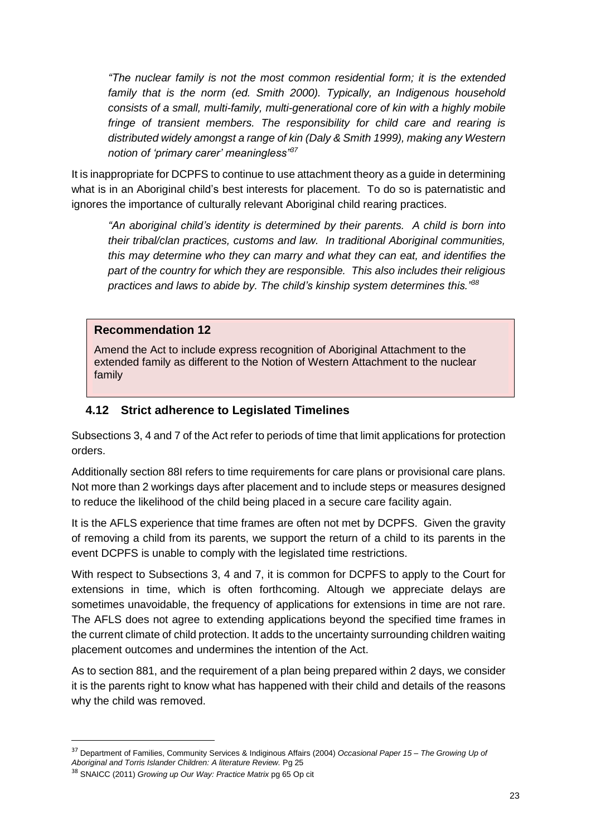*"The nuclear family is not the most common residential form; it is the extended family that is the norm (ed. Smith 2000). Typically, an Indigenous household consists of a small, multi-family, multi-generational core of kin with a highly mobile fringe of transient members. The responsibility for child care and rearing is distributed widely amongst a range of kin (Daly & Smith 1999), making any Western notion of 'primary carer' meaningless"<sup>37</sup>*

It is inappropriate for DCPFS to continue to use attachment theory as a guide in determining what is in an Aboriginal child's best interests for placement. To do so is paternatistic and ignores the importance of culturally relevant Aboriginal child rearing practices.

*"An aboriginal child's identity is determined by their parents. A child is born into their tribal/clan practices, customs and law. In traditional Aboriginal communities, this may determine who they can marry and what they can eat, and identifies the part of the country for which they are responsible. This also includes their religious practices and laws to abide by. The child's kinship system determines this."<sup>38</sup>* 

### **Recommendation 12**

Amend the Act to include express recognition of Aboriginal Attachment to the extended family as different to the Notion of Western Attachment to the nuclear family

### **4.12 Strict adherence to Legislated Timelines**

Subsections 3, 4 and 7 of the Act refer to periods of time that limit applications for protection orders.

Additionally section 88I refers to time requirements for care plans or provisional care plans. Not more than 2 workings days after placement and to include steps or measures designed to reduce the likelihood of the child being placed in a secure care facility again.

It is the AFLS experience that time frames are often not met by DCPFS. Given the gravity of removing a child from its parents, we support the return of a child to its parents in the event DCPFS is unable to comply with the legislated time restrictions.

With respect to Subsections 3, 4 and 7, it is common for DCPFS to apply to the Court for extensions in time, which is often forthcoming. Altough we appreciate delays are sometimes unavoidable, the frequency of applications for extensions in time are not rare. The AFLS does not agree to extending applications beyond the specified time frames in the current climate of child protection. It adds to the uncertainty surrounding children waiting placement outcomes and undermines the intention of the Act.

As to section 881, and the requirement of a plan being prepared within 2 days, we consider it is the parents right to know what has happened with their child and details of the reasons why the child was removed.

<sup>37</sup> Department of Families, Community Services & Indiginous Affairs (2004) *Occasional Paper 15 – The Growing Up of*

*Aboriginal and Torris Islander Children: A literature Review.* Pg 25

<sup>38</sup> SNAICC (2011) *Growing up Our Way: Practice Matrix* pg 65 Op cit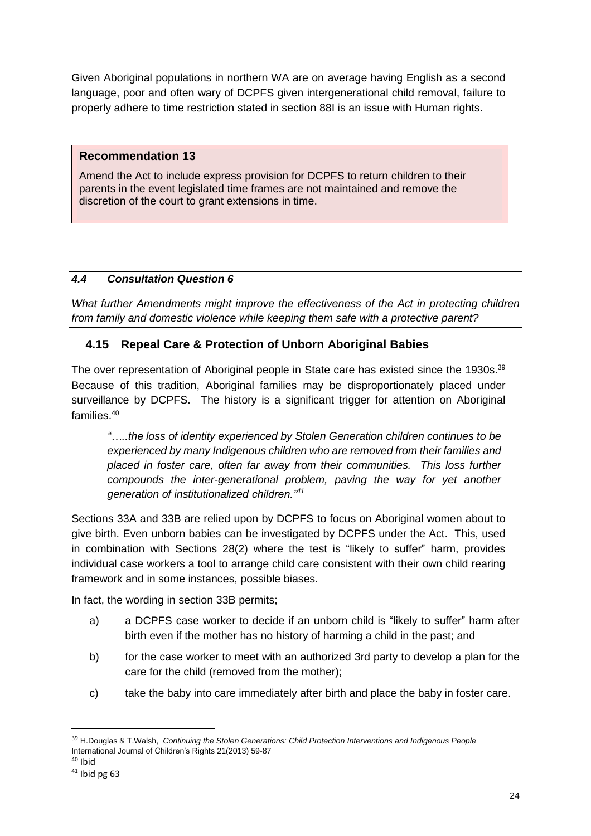Given Aboriginal populations in northern WA are on average having English as a second language, poor and often wary of DCPFS given intergenerational child removal, failure to properly adhere to time restriction stated in section 88I is an issue with Human rights.

### **Recommendation 13**

Amend the Act to include express provision for DCPFS to return children to their parents in the event legislated time frames are not maintained and remove the discretion of the court to grant extensions in time.

# *4.4 Consultation Question 6*

*What further Amendments might improve the effectiveness of the Act in protecting children from family and domestic violence while keeping them safe with a protective parent?*

# **4.15 Repeal Care & Protection of Unborn Aboriginal Babies**

The over representation of Aboriginal people in State care has existed since the 1930s.<sup>39</sup> Because of this tradition, Aboriginal families may be disproportionately placed under surveillance by DCPFS. The history is a significant trigger for attention on Aboriginal families. 40

*"…..the loss of identity experienced by Stolen Generation children continues to be experienced by many Indigenous children who are removed from their families and placed in foster care, often far away from their communities. This loss further compounds the inter-generational problem, paving the way for yet another generation of institutionalized children."<sup>41</sup>*

Sections 33A and 33B are relied upon by DCPFS to focus on Aboriginal women about to give birth. Even unborn babies can be investigated by DCPFS under the Act. This, used in combination with Sections 28(2) where the test is "likely to suffer" harm, provides individual case workers a tool to arrange child care consistent with their own child rearing framework and in some instances, possible biases.

In fact, the wording in section 33B permits;

- a) a DCPFS case worker to decide if an unborn child is "likely to suffer" harm after birth even if the mother has no history of harming a child in the past; and
- b) for the case worker to meet with an authorized 3rd party to develop a plan for the care for the child (removed from the mother);
- c) take the baby into care immediately after birth and place the baby in foster care.

<sup>39</sup> H.Douglas & T.Walsh, *Continuing the Stolen Generations: Child Protection Interventions and Indigenous People* International Journal of Children's Rights 21(2013) 59-87

 $40$  Ibid

 $41$  Ibid pg 63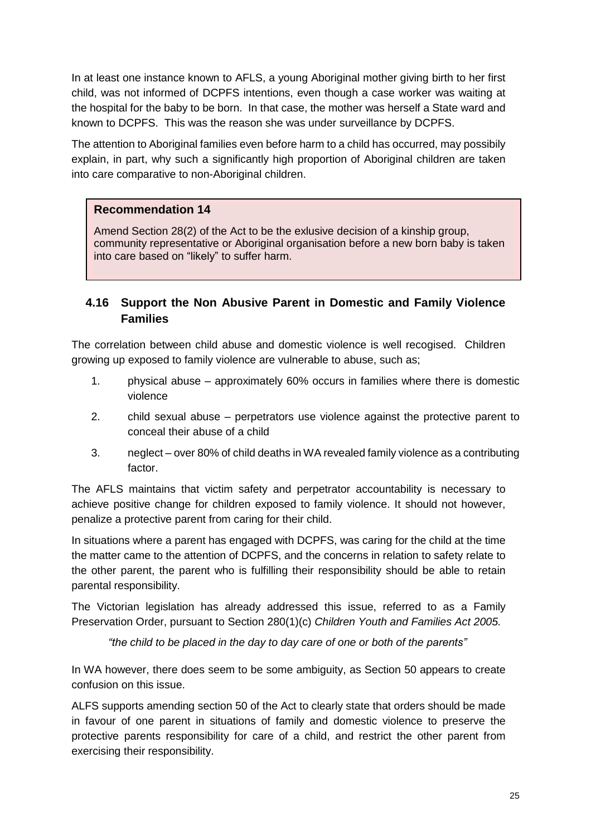In at least one instance known to AFLS, a young Aboriginal mother giving birth to her first child, was not informed of DCPFS intentions, even though a case worker was waiting at the hospital for the baby to be born. In that case, the mother was herself a State ward and known to DCPFS. This was the reason she was under surveillance by DCPFS.

The attention to Aboriginal families even before harm to a child has occurred, may possibily explain, in part, why such a significantly high proportion of Aboriginal children are taken into care comparative to non-Aboriginal children.

# **Recommendation 14**

Amend Section 28(2) of the Act to be the exlusive decision of a kinship group, community representative or Aboriginal organisation before a new born baby is taken into care based on "likely" to suffer harm.

# **4.16 Support the Non Abusive Parent in Domestic and Family Violence Families**

The correlation between child abuse and domestic violence is well recogised. Children growing up exposed to family violence are vulnerable to abuse, such as;

- 1. physical abuse approximately 60% occurs in families where there is domestic violence
- 2. child sexual abuse perpetrators use violence against the protective parent to conceal their abuse of a child
- 3. neglect over 80% of child deaths in WA revealed family violence as a contributing factor.

The AFLS maintains that victim safety and perpetrator accountability is necessary to achieve positive change for children exposed to family violence. It should not however, penalize a protective parent from caring for their child.

In situations where a parent has engaged with DCPFS, was caring for the child at the time the matter came to the attention of DCPFS, and the concerns in relation to safety relate to the other parent, the parent who is fulfilling their responsibility should be able to retain parental responsibility.

The Victorian legislation has already addressed this issue, referred to as a Family Preservation Order, pursuant to Section 280(1)(c) *Children Youth and Families Act 2005.*

*"the child to be placed in the day to day care of one or both of the parents"*

In WA however, there does seem to be some ambiguity, as Section 50 appears to create confusion on this issue.

ALFS supports amending section 50 of the Act to clearly state that orders should be made in favour of one parent in situations of family and domestic violence to preserve the protective parents responsibility for care of a child, and restrict the other parent from exercising their responsibility.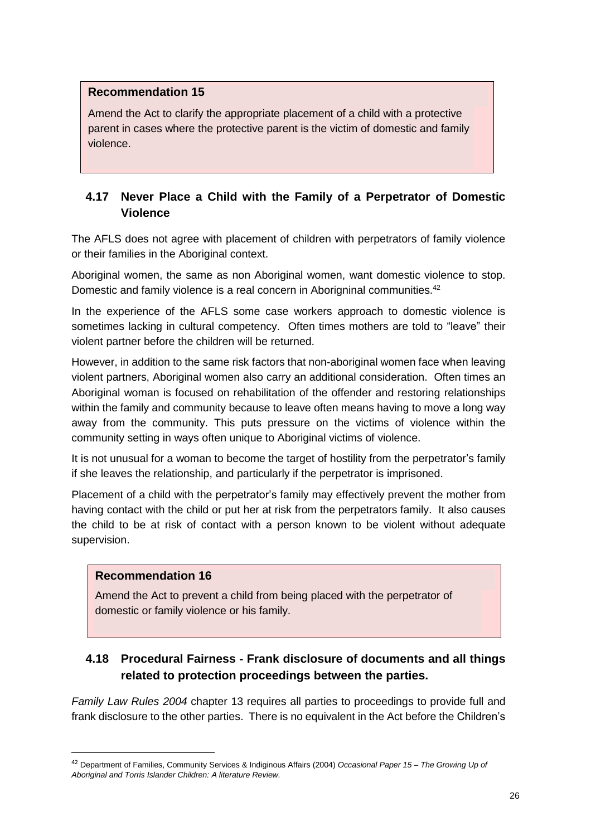Amend the Act to clarify the appropriate placement of a child with a protective parent in cases where the protective parent is the victim of domestic and family violence.

# **4.17 Never Place a Child with the Family of a Perpetrator of Domestic Violence**

The AFLS does not agree with placement of children with perpetrators of family violence or their families in the Aboriginal context.

Aboriginal women, the same as non Aboriginal women, want domestic violence to stop. Domestic and family violence is a real concern in Aborigninal communities.<sup>42</sup>

In the experience of the AFLS some case workers approach to domestic violence is sometimes lacking in cultural competency. Often times mothers are told to "leave" their violent partner before the children will be returned.

However, in addition to the same risk factors that non-aboriginal women face when leaving violent partners, Aboriginal women also carry an additional consideration. Often times an Aboriginal woman is focused on rehabilitation of the offender and restoring relationships within the family and community because to leave often means having to move a long way away from the community. This puts pressure on the victims of violence within the community setting in ways often unique to Aboriginal victims of violence.

It is not unusual for a woman to become the target of hostility from the perpetrator's family if she leaves the relationship, and particularly if the perpetrator is imprisoned.

Placement of a child with the perpetrator's family may effectively prevent the mother from having contact with the child or put her at risk from the perpetrators family. It also causes the child to be at risk of contact with a person known to be violent without adequate supervision.

# **Recommendation 16**

 $\overline{a}$ 

Amend the Act to prevent a child from being placed with the perpetrator of domestic or family violence or his family.

# **4.18 Procedural Fairness - Frank disclosure of documents and all things related to protection proceedings between the parties.**

*Family Law Rules 2004* chapter 13 requires all parties to proceedings to provide full and frank disclosure to the other parties. There is no equivalent in the Act before the Children's

<sup>42</sup> Department of Families, Community Services & Indiginous Affairs (2004) *Occasional Paper 15 – The Growing Up of Aboriginal and Torris Islander Children: A literature Review.*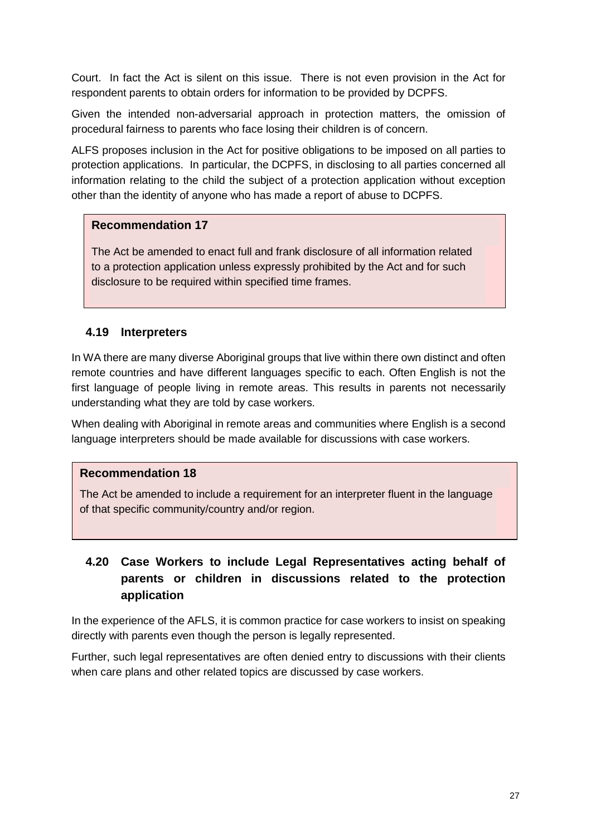Court. In fact the Act is silent on this issue. There is not even provision in the Act for respondent parents to obtain orders for information to be provided by DCPFS.

Given the intended non-adversarial approach in protection matters, the omission of procedural fairness to parents who face losing their children is of concern.

ALFS proposes inclusion in the Act for positive obligations to be imposed on all parties to protection applications. In particular, the DCPFS, in disclosing to all parties concerned all information relating to the child the subject of a protection application without exception other than the identity of anyone who has made a report of abuse to DCPFS.

### **Recommendation 17**

The Act be amended to enact full and frank disclosure of all information related to a protection application unless expressly prohibited by the Act and for such disclosure to be required within specified time frames.

# **4.19 Interpreters**

In WA there are many diverse Aboriginal groups that live within there own distinct and often remote countries and have different languages specific to each. Often English is not the first language of people living in remote areas. This results in parents not necessarily understanding what they are told by case workers.

When dealing with Aboriginal in remote areas and communities where English is a second language interpreters should be made available for discussions with case workers.

### **Recommendation 18**

The Act be amended to include a requirement for an interpreter fluent in the language of that specific community/country and/or region.

# **4.20 Case Workers to include Legal Representatives acting behalf of parents or children in discussions related to the protection application**

In the experience of the AFLS, it is common practice for case workers to insist on speaking directly with parents even though the person is legally represented.

Further, such legal representatives are often denied entry to discussions with their clients when care plans and other related topics are discussed by case workers.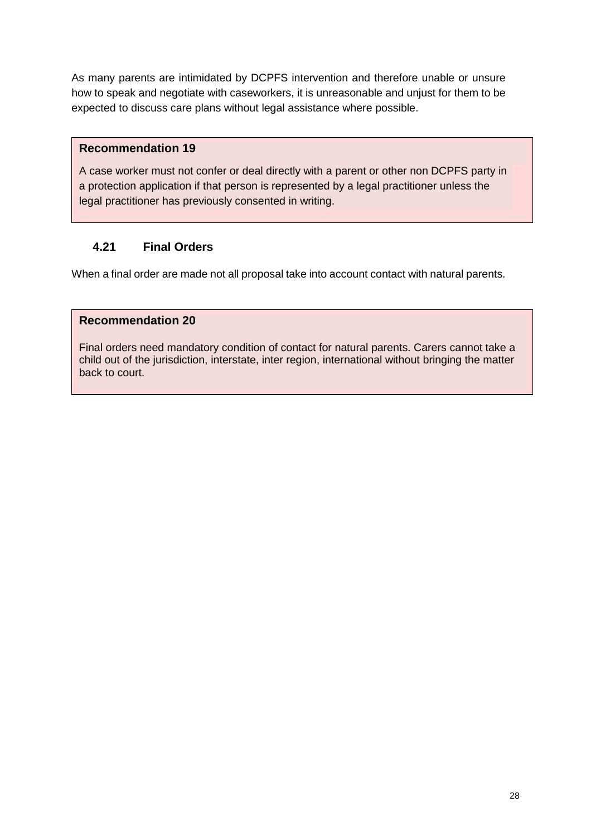As many parents are intimidated by DCPFS intervention and therefore unable or unsure how to speak and negotiate with caseworkers, it is unreasonable and unjust for them to be expected to discuss care plans without legal assistance where possible.

### **Recommendation 19**

A case worker must not confer or deal directly with a parent or other non DCPFS party in a protection application if that person is represented by a legal practitioner unless the legal practitioner has previously consented in writing.

# **4.21 Final Orders**

When a final order are made not all proposal take into account contact with natural parents.

### **Recommendation 20**

Final orders need mandatory condition of contact for natural parents. Carers cannot take a child out of the jurisdiction, interstate, inter region, international without bringing the matter back to court.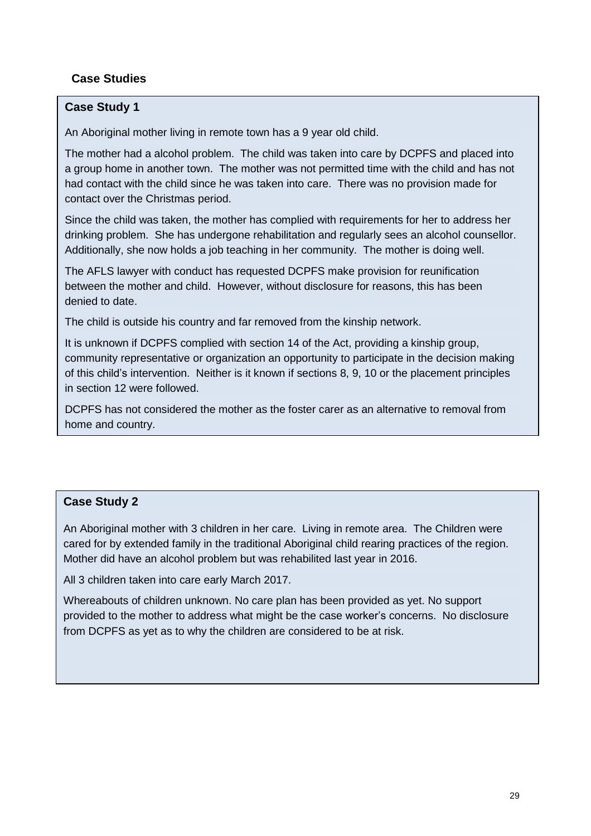# **Case Studies**

# **Case Study 1**

An Aboriginal mother living in remote town has a 9 year old child.

The mother had a alcohol problem. The child was taken into care by DCPFS and placed into a group home in another town. The mother was not permitted time with the child and has not had contact with the child since he was taken into care. There was no provision made for contact over the Christmas period.

Since the child was taken, the mother has complied with requirements for her to address her drinking problem. She has undergone rehabilitation and regularly sees an alcohol counsellor. Additionally, she now holds a job teaching in her community. The mother is doing well.

The AFLS lawyer with conduct has requested DCPFS make provision for reunification between the mother and child. However, without disclosure for reasons, this has been denied to date.

The child is outside his country and far removed from the kinship network.

It is unknown if DCPFS complied with section 14 of the Act, providing a kinship group, community representative or organization an opportunity to participate in the decision making of this child's intervention. Neither is it known if sections 8, 9, 10 or the placement principles in section 12 were followed.

DCPFS has not considered the mother as the foster carer as an alternative to removal from home and country.

# **Case Study 2**

An Aboriginal mother with 3 children in her care. Living in remote area. The Children were cared for by extended family in the traditional Aboriginal child rearing practices of the region. Mother did have an alcohol problem but was rehabilited last year in 2016.

All 3 children taken into care early March 2017.

Whereabouts of children unknown. No care plan has been provided as yet. No support provided to the mother to address what might be the case worker's concerns. No disclosure from DCPFS as yet as to why the children are considered to be at risk.